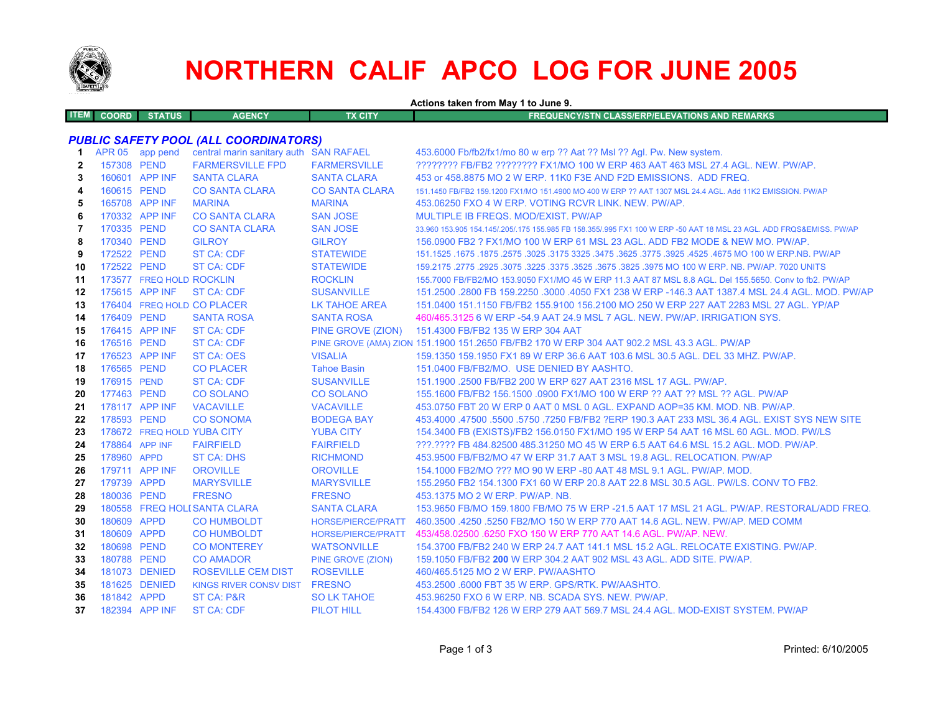

# **NORTHERN CALIF APCO LOG FOR JUNE 2005**

**Actions taken from May 1 to June 9.**

| <b>ITEM COORD</b> | <b>STATUS</b> | <b>AGENCY</b> | TX CITY | FREQUENCY/STN CLASS/ERP/ELEVATIONS AND REMARKS |  |
|-------------------|---------------|---------------|---------|------------------------------------------------|--|
|                   |               |               |         |                                                |  |

## *PUBLIC SAFETY POOL (ALL COORDINATORS)*

| 1              |             | APR 05 app pend          | central marin sanitary auth SAN RAFAEL |                           | 453.6000 Fb/fb2/fx1/mo 80 w erp ?? Aat ?? Msl ?? Agl. Pw. New system.                                               |
|----------------|-------------|--------------------------|----------------------------------------|---------------------------|---------------------------------------------------------------------------------------------------------------------|
| $\overline{2}$ | 157308 PEND |                          | <b>FARMERSVILLE FPD</b>                | <b>FARMERSVILLE</b>       | ???????? FB/FB2 ??????? FX1/MO 100 W ERP 463 AAT 463 MSL 27.4 AGL. NEW. PW/AP.                                      |
| 3              |             | 160601 APP INF           | <b>SANTA CLARA</b>                     | <b>SANTA CLARA</b>        | 453 or 458,8875 MO 2 W ERP, 11K0 F3E AND F2D EMISSIONS. ADD FREQ.                                                   |
| 4              | 160615 PEND |                          | <b>CO SANTA CLARA</b>                  | <b>CO SANTA CLARA</b>     | 151.1450 FB/FB2 159.1200 FX1/MO 151.4900 MO 400 W ERP ?? AAT 1307 MSL 24.4 AGL. Add 11K2 EMISSION, PW/AP            |
| 5              |             | 165708 APP INF           | <b>MARINA</b>                          | <b>MARINA</b>             | 453.06250 FXO 4 W ERP. VOTING RCVR LINK, NEW, PW/AP.                                                                |
| 6              |             | 170332 APP INF           | <b>CO SANTA CLARA</b>                  | <b>SAN JOSE</b>           | MULTIPLE IB FREQS, MOD/EXIST, PW/AP                                                                                 |
| 7              | 170335 PEND |                          | <b>CO SANTA CLARA</b>                  | <b>SAN JOSE</b>           | 33.960 153.905 154.145/.205/.175 155.985 FB 158.355/.995 FX1 100 W ERP -50 AAT 18 MSL 23 AGL. ADD FRQS&EMISS. PW/AP |
| 8              | 170340 PEND |                          | <b>GILROY</b>                          | <b>GILROY</b>             | 156,0900 FB2 ? FX1/MO 100 W ERP 61 MSL 23 AGL, ADD FB2 MODE & NEW MO, PW/AP.                                        |
| 9              | 172522 PEND |                          | <b>ST CA: CDF</b>                      | <b>STATEWIDE</b>          | 1675. 1675. 1675. 1675. 1675. 1625. 1675. 1775. 1625. 1675. 1625. 1675. 1675. 1675. 1675. 1675. 1675. 1675. 1       |
| 10             | 172522 PEND |                          | <b>ST CA: CDF</b>                      | <b>STATEWIDE</b>          | 159.2175 .2775 .2925 .3075 .3225 .3675 .3675 .3625 .3975 MO 100 W ERP. NB. PW/AP. 7020 UNITS                        |
| 11             |             | 173577 FREQ HOLD ROCKLIN |                                        | <b>ROCKLIN</b>            | 155,7000 FB/FB2/MO 153,9050 FX1/MO 45 W ERP 11.3 AAT 87 MSL 8.8 AGL, Del 155,5650, Conv to fb2, PW/AP               |
| 12             |             | 175615 APP INF           | ST CA: CDF                             | <b>SUSANVILLE</b>         | 151.2500 .2800 FB 159.2250 .3000 .4050 FX1 238 W ERP -146.3 AAT 1387.4 MSL 24.4 AGL, MOD, PW/AP                     |
| 13             |             |                          | 176404 FREQ HOLD CO PLACER             | <b>LK TAHOE AREA</b>      | 151.0400 151.1150 FB/FB2 155.9100 156.2100 MO 250 W ERP 227 AAT 2283 MSL 27 AGL. YP/AP                              |
| 14             | 176409 PEND |                          | <b>SANTA ROSA</b>                      | <b>SANTA ROSA</b>         | 460/465.3125 6 W ERP -54.9 AAT 24.9 MSL 7 AGL. NEW. PW/AP. IRRIGATION SYS.                                          |
| 15             |             | 176415 APP INF           | <b>ST CA: CDF</b>                      | PINE GROVE (ZION)         | 151.4300 FB/FB2 135 W ERP 304 AAT                                                                                   |
| 16             | 176516 PEND |                          | <b>ST CA: CDF</b>                      |                           | PINE GROVE (AMA) ZION 151.1900 151.2650 FB/FB2 170 W ERP 304 AAT 902.2 MSL 43.3 AGL. PW/AP                          |
| 17             |             | 176523 APP INF           | <b>ST CA: OES</b>                      | <b>VISALIA</b>            | 159.1350 159.1950 FX1 89 W ERP 36.6 AAT 103.6 MSL 30.5 AGL, DEL 33 MHZ, PW/AP,                                      |
| 18             | 176565 PEND |                          | <b>CO PLACER</b>                       | <b>Tahoe Basin</b>        | 151.0400 FB/FB2/MO. USE DENIED BY AASHTO.                                                                           |
| 19             | 176915 PEND |                          | <b>ST CA: CDF</b>                      | <b>SUSANVILLE</b>         | 151.1900 .2500 FB/FB2 200 W ERP 627 AAT 2316 MSL 17 AGL. PW/AP.                                                     |
| 20             | 177463 PEND |                          | <b>CO SOLANO</b>                       | <b>CO SOLANO</b>          | 155.1600 FB/FB2 156.1500 .0900 FX1/MO 100 W ERP ?? AAT ?? MSL ?? AGL. PW/AP                                         |
| 21             |             | 178117 APP INF           | <b>VACAVILLE</b>                       | <b>VACAVILLE</b>          | 453.0750 FBT 20 W ERP 0 AAT 0 MSL 0 AGL. EXPAND AOP=35 KM, MOD, NB, PW/AP,                                          |
| 22             | 178593 PEND |                          | <b>CO SONOMA</b>                       | <b>BODEGA BAY</b>         | 453,4000 .47500 .5500 .5750 .7250 FB/FB2 ?ERP 190.3 AAT 233 MSL 36.4 AGL. EXIST SYS NEW SITE                        |
| 23             |             |                          | 178672 FREQ HOLD YUBA CITY             | <b>YUBA CITY</b>          | 154.3400 FB (EXISTS)/FB2 156.0150 FX1/MO 195 W ERP 54 AAT 16 MSL 60 AGL. MOD. PW/LS                                 |
| 24             |             | 178864 APP INF           | <b>FAIRFIELD</b>                       | <b>FAIRFIELD</b>          | ???.???? FB 484.82500 485.31250 MO 45 W ERP 6.5 AAT 64.6 MSL 15.2 AGL. MOD. PW/AP.                                  |
| 25             | 178960 APPD |                          | <b>ST CA: DHS</b>                      | <b>RICHMOND</b>           | 453,9500 FB/FB2/MO 47 W ERP 31.7 AAT 3 MSL 19.8 AGL. RELOCATION, PW/AP                                              |
| 26             |             | 179711 APP INF           | <b>OROVILLE</b>                        | <b>OROVILLE</b>           | 154,1000 FB2/MO ??? MO 90 W ERP -80 AAT 48 MSL 9.1 AGL, PW/AP, MOD.                                                 |
| 27             | 179739 APPD |                          | <b>MARYSVILLE</b>                      | <b>MARYSVILLE</b>         | 155.2950 FB2 154.1300 FX1 60 W ERP 20.8 AAT 22.8 MSL 30.5 AGL. PW/LS. CONV TO FB2.                                  |
| 28             | 180036 PEND |                          | <b>FRESNO</b>                          | <b>FRESNO</b>             | 453.1375 MO 2 W ERP. PW/AP. NB.                                                                                     |
| 29             |             |                          | 180558 FREQ HOLI SANTA CLARA           | <b>SANTA CLARA</b>        | 153.9650 FB/MO 159.1800 FB/MO 75 W ERP -21.5 AAT 17 MSL 21 AGL. PW/AP. RESTORAL/ADD FREQ.                           |
| 30             | 180609 APPD |                          | <b>CO HUMBOLDT</b>                     | <b>HORSE/PIERCE/PRATT</b> | 460.3500 .4250 .5250 FB2/MO 150 W ERP 770 AAT 14.6 AGL, NEW, PW/AP, MED COMM                                        |
| 31             | 180609 APPD |                          | <b>CO HUMBOLDT</b>                     | <b>HORSE/PIERCE/PRATT</b> | 453/458.02500 .6250 FXO 150 W ERP 770 AAT 14.6 AGL. PW/AP. NEW.                                                     |
| 32             | 180698 PEND |                          | <b>CO MONTEREY</b>                     | <b>WATSONVILLE</b>        | 154.3700 FB/FB2 240 W ERP 24.7 AAT 141.1 MSL 15.2 AGL. RELOCATE EXISTING, PW/AP.                                    |
| 33             | 180788 PEND |                          | <b>CO AMADOR</b>                       | <b>PINE GROVE (ZION)</b>  | 159.1050 FB/FB2 200 W ERP 304.2 AAT 902 MSL 43 AGL, ADD SITE, PW/AP.                                                |
| 34             |             | 181073 DENIED            | <b>ROSEVILLE CEM DIST</b>              | <b>ROSEVILLE</b>          | 460/465.5125 MO 2 W ERP. PW/AASHTO                                                                                  |
| 35             |             | 181625 DENIED            | KINGS RIVER CONSV DIST FRESNO          |                           | 453.2500 .6000 FBT 35 W ERP. GPS/RTK. PW/AASHTO.                                                                    |
| 36             | 181842 APPD |                          | ST CA: P&R                             | <b>SO LK TAHOE</b>        | 453.96250 FXO 6 W ERP. NB. SCADA SYS. NEW. PW/AP.                                                                   |
| 37             |             | 182394 APP INF           | <b>ST CA: CDF</b>                      | <b>PILOT HILL</b>         | 154,4300 FB/FB2 126 W ERP 279 AAT 569.7 MSL 24.4 AGL, MOD-EXIST SYSTEM, PW/AP                                       |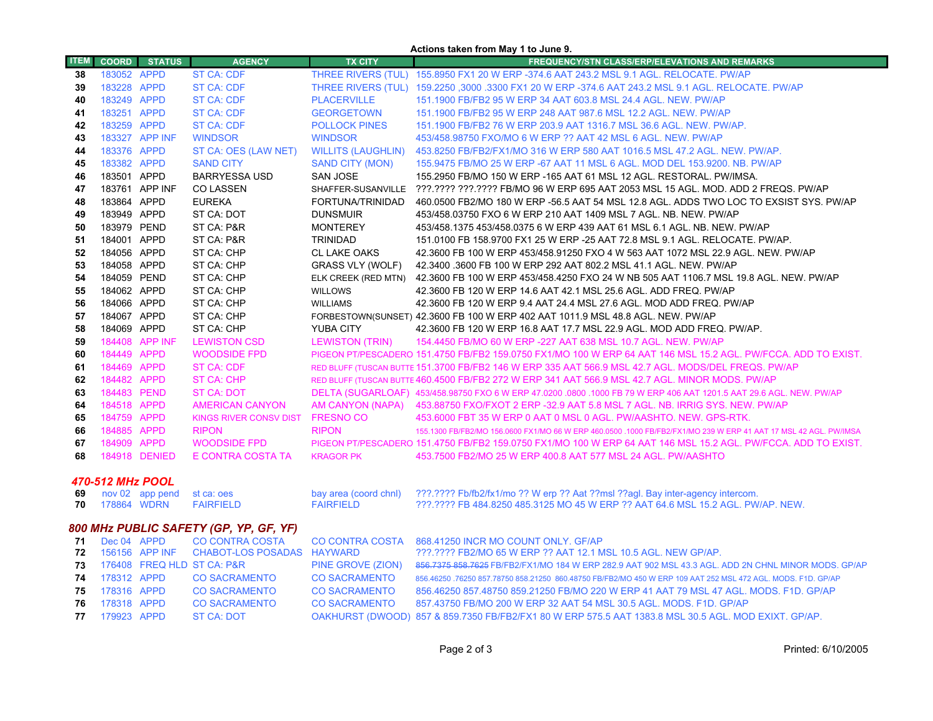|                                        |                            |                      |                                   |                                     | Actions taken from May 1 to June 9.                                                                                                    |
|----------------------------------------|----------------------------|----------------------|-----------------------------------|-------------------------------------|----------------------------------------------------------------------------------------------------------------------------------------|
| <b>ITEM</b>                            | <b>COORD</b>               | <b>STATUS</b>        | <b>AGENCY</b>                     | <b>TX CITY</b>                      | <b>FREQUENCY/STN CLASS/ERP/ELEVATIONS AND REMARKS</b>                                                                                  |
| 38                                     | 183052 APPD                |                      | <b>ST CA: CDF</b>                 |                                     | THREE RIVERS (TUL) 155.8950 FX1 20 W ERP -374.6 AAT 243.2 MSL 9.1 AGL. RELOCATE. PW/AP                                                 |
| 39                                     | 183228 APPD                |                      | ST CA: CDF                        |                                     | THREE RIVERS (TUL) 159.2250, 3000.3300 FX1 20 W ERP -374.6 AAT 243.2 MSL 9.1 AGL. RELOCATE. PW/AP                                      |
| 40                                     | 183249 APPD                |                      | <b>ST CA: CDF</b>                 | <b>PLACERVILLE</b>                  | 151.1900 FB/FB2 95 W ERP 34 AAT 603.8 MSL 24.4 AGL. NEW. PW/AP                                                                         |
| 41                                     | 183251 APPD                |                      | ST CA: CDF                        | <b>GEORGETOWN</b>                   | 151.1900 FB/FB2 95 W ERP 248 AAT 987.6 MSL 12.2 AGL, NEW, PW/AP                                                                        |
| 42                                     | 183259 APPD                |                      | <b>ST CA: CDF</b>                 | <b>POLLOCK PINES</b>                | 151.1900 FB/FB2 76 W ERP 203.9 AAT 1316.7 MSL 36.6 AGL. NEW. PW/AP.                                                                    |
| 43                                     |                            | 183327 APP INF       | <b>WINDSOR</b>                    | <b>WINDSOR</b>                      | 453/458.98750 FXO/MO 6 W ERP ?? AAT 42 MSL 6 AGL. NEW. PW/AP                                                                           |
| 44                                     | 183376 APPD                |                      | ST CA: OES (LAW NET)              | <b>WILLITS (LAUGHLIN)</b>           | 453.8250 FB/FB2/FX1/MO 316 W ERP 580 AAT 1016.5 MSL 47.2 AGL. NEW. PW/AP.                                                              |
| 45                                     | 183382 APPD                |                      | <b>SAND CITY</b>                  | <b>SAND CITY (MON)</b>              | 155.9475 FB/MO 25 W ERP -67 AAT 11 MSL 6 AGL. MOD DEL 153.9200. NB. PW/AP                                                              |
| 46                                     | 183501 APPD                |                      | <b>BARRYESSA USD</b>              | <b>SAN JOSE</b>                     | 155.2950 FB/MO 150 W ERP -165 AAT 61 MSL 12 AGL. RESTORAL. PW/IMSA.                                                                    |
| 47                                     |                            | 183761 APP INF       | <b>CO LASSEN</b>                  | SHAFFER-SUSANVILLE                  | ???.???? ???.???? FB/MO 96 W ERP 695 AAT 2053 MSL 15 AGL. MOD. ADD 2 FREQS. PW/AP                                                      |
| 48                                     | 183864 APPD                |                      | <b>EUREKA</b>                     | FORTUNA/TRINIDAD                    | 460.0500 FB2/MO 180 W ERP -56.5 AAT 54 MSL 12.8 AGL. ADDS TWO LOC TO EXSIST SYS. PW/AP                                                 |
| 49                                     | 183949 APPD                |                      | ST CA: DOT                        | <b>DUNSMUIR</b>                     | 453/458.03750 FXO 6 W ERP 210 AAT 1409 MSL 7 AGL. NB. NEW. PW/AP                                                                       |
| 50                                     | 183979 PEND                |                      | ST CA: P&R                        | <b>MONTEREY</b>                     | 453/458.1375 453/458.0375 6 W ERP 439 AAT 61 MSL 6.1 AGL, NB, NEW, PW/AP                                                               |
| 51                                     | 184001 APPD                |                      | ST CA: P&R                        | <b>TRINIDAD</b>                     | 151.0100 FB 158.9700 FX1 25 W ERP -25 AAT 72.8 MSL 9.1 AGL. RELOCATE. PW/AP.                                                           |
| 52                                     | 184056 APPD                |                      | ST CA: CHP                        | <b>CL LAKE OAKS</b>                 | 42.3600 FB 100 W ERP 453/458.91250 FXO 4 W 563 AAT 1072 MSL 22.9 AGL. NEW. PW/AP                                                       |
| 53                                     | 184058 APPD                |                      | ST CA: CHP                        | <b>GRASS VLY (WOLF)</b>             | 42.3400 .3600 FB 100 W ERP 292 AAT 802.2 MSL 41.1 AGL. NEW. PW/AP                                                                      |
| 54                                     | 184059 PEND                |                      | ST CA: CHP                        | ELK CREEK (RED MTN)                 | 42.3600 FB 100 W ERP 453/458.4250 FXO 24 W NB 505 AAT 1106.7 MSL 19.8 AGL. NEW. PW/AP                                                  |
| 55                                     | 184062 APPD                |                      | ST CA: CHP                        | <b>WILLOWS</b>                      | 42.3600 FB 120 W ERP 14.6 AAT 42.1 MSL 25.6 AGL. ADD FREQ. PW/AP                                                                       |
| 56                                     | 184066 APPD                |                      | ST CA: CHP                        | <b>WILLIAMS</b>                     | 42.3600 FB 120 W ERP 9.4 AAT 24.4 MSL 27.6 AGL. MOD ADD FREQ. PW/AP                                                                    |
| 57                                     | 184067 APPD<br>184069 APPD |                      | ST CA: CHP                        |                                     | FORBESTOWN(SUNSET) 42.3600 FB 100 W ERP 402 AAT 1011.9 MSL 48.8 AGL. NEW. PW/AP                                                        |
| 58                                     |                            | 184408 APP INF       | ST CA: CHP<br><b>LEWISTON CSD</b> | YUBA CITY<br><b>LEWISTON (TRIN)</b> | 42.3600 FB 120 W ERP 16.8 AAT 17.7 MSL 22.9 AGL. MOD ADD FREQ. PW/AP.<br>154.4450 FB/MO 60 W ERP -227 AAT 638 MSL 10.7 AGL. NEW. PW/AP |
| 59<br>60                               | 184449 APPD                |                      | <b>WOODSIDE FPD</b>               |                                     | PIGEON PT/PESCADERO 151.4750 FB/FB2 159.0750 FX1/MO 100 W ERP 64 AAT 146 MSL 15.2 AGL. PW/FCCA. ADD TO EXIST.                          |
| 61                                     | 184469 APPD                |                      | <b>ST CA: CDF</b>                 |                                     | RED BLUFF (TUSCAN BUTTE 151.3700 FB/FB2 146 W ERP 335 AAT 566.9 MSL 42.7 AGL. MODS/DEL FREQS. PW/AP                                    |
| 62                                     | 184482 APPD                |                      | <b>ST CA: CHP</b>                 |                                     | RED BLUFF (TUSCAN BUTTE 460.4500 FB/FB2 272 W ERP 341 AAT 566.9 MSL 42.7 AGL. MINOR MODS. PW/AP                                        |
| 63                                     | 184483 PEND                |                      | <b>ST CA: DOT</b>                 |                                     | DELTA (SUGARLOAF) 453/458.98750 FXO 6 W ERP 47.0200 .0800 .1000 FB 79 W ERP 406 AAT 1201.5 AAT 29.6 AGL. NEW. PW/AP                    |
| 64                                     | 184518 APPD                |                      | <b>AMERICAN CANYON</b>            | AM CANYON (NAPA)                    | 453.88750 FXO/FXOT 2 ERP -32.9 AAT 5.8 MSL 7 AGL. NB. IRRIG SYS. NEW. PW/AP                                                            |
| 65                                     | 184759 APPD                |                      | <b>KINGS RIVER CONSV DIST</b>     | <b>FRESNO CO</b>                    | 453,6000 FBT 35 W ERP 0 AAT 0 MSL 0 AGL, PW/AASHTO, NEW, GPS-RTK,                                                                      |
| 66                                     | 184885 APPD                |                      | <b>RIPON</b>                      | <b>RIPON</b>                        | 155.1300 FB/FB2/MO 156.0600 FX1/MO 66 W ERP 460.0500 .1000 FB/FB2/FX1/MO 239 W ERP 41 AAT 17 MSL 42 AGL. PW/IMSA                       |
| 67                                     | 184909 APPD                |                      | <b>WOODSIDE FPD</b>               |                                     | PIGEON PT/PESCADERO 151.4750 FB/FB2 159.0750 FX1/MO 100 W ERP 64 AAT 146 MSL 15.2 AGL. PW/FCCA, ADD TO EXIST,                          |
| 68                                     |                            | <b>184918 DENIED</b> | E CONTRA COSTA TA                 | <b>KRAGOR PK</b>                    | 453.7500 FB2/MO 25 W ERP 400.8 AAT 577 MSL 24 AGL. PW/AASHTO                                                                           |
|                                        |                            |                      |                                   |                                     |                                                                                                                                        |
|                                        | 470-512 MHz POOL           |                      |                                   |                                     |                                                                                                                                        |
| 69                                     |                            | nov 02 app pend      | st ca: oes                        | bay area (coord chnl)               | ???.???? Fb/fb2/fx1/mo ?? W erp ?? Aat ??msl ??agl. Bay inter-agency intercom.                                                         |
| 70                                     | 178864 WDRN                |                      | <b>FAIRFIELD</b>                  | <b>FAIRFIELD</b>                    | ???.???? FB 484.8250 485.3125 MO 45 W ERP ?? AAT 64.6 MSL 15.2 AGL. PW/AP. NEW.                                                        |
| 800 MHz PUBLIC SAFETY (GP, YP, GF, YF) |                            |                      |                                   |                                     |                                                                                                                                        |
| 71                                     | Dec 04 APPD                |                      | <b>CO CONTRA COSTA</b>            | <b>CO CONTRA COSTA</b>              | 868.41250 INCR MO COUNT ONLY. GF/AP                                                                                                    |
| 72                                     |                            | 156156 APP INF       | <b>CHABOT-LOS POSADAS</b>         | <b>HAYWARD</b>                      | ???.???? FB2/MO 65 W ERP ?? AAT 12.1 MSL 10.5 AGL. NEW GP/AP.                                                                          |
| 73                                     |                            |                      | 176408 FREQ HLD ST CA: P&R        | PINE GROVE (ZION)                   | 856.7375 858.7625 FB/FB2/FX1/MO 184 W ERP 282.9 AAT 902 MSL 43.3 AGL. ADD 2N CHNL MINOR MODS. GP/AP                                    |
| 74                                     | 178312 APPD                |                      | <b>CO SACRAMENTO</b>              | <b>CO SACRAMENTO</b>                | 856.46250 .76250 857.78750 858.21250 860.48750 FB/FB2/MO 450 W ERP 109 AAT 252 MSL 472 AGL. MODS. F1D. GP/AP                           |
| 75                                     | 178316 APPD                |                      | <b>CO SACRAMENTO</b>              | <b>CO SACRAMENTO</b>                | 856.46250 857.48750 859.21250 FB/MO 220 W ERP 41 AAT 79 MSL 47 AGL. MODS. F1D. GP/AP                                                   |
| 76                                     | 178318 APPD                |                      | <b>CO SACRAMENTO</b>              | <b>CO SACRAMENTO</b>                | 857.43750 FB/MO 200 W ERP 32 AAT 54 MSL 30.5 AGL, MODS, F1D, GP/AP                                                                     |
| 77                                     | 179923 APPD                |                      | <b>ST CA: DOT</b>                 |                                     | OAKHURST (DWOOD) 857 & 859.7350 FB/FB2/FX1 80 W ERP 575.5 AAT 1383.8 MSL 30.5 AGL. MOD EXIXT. GP/AP.                                   |